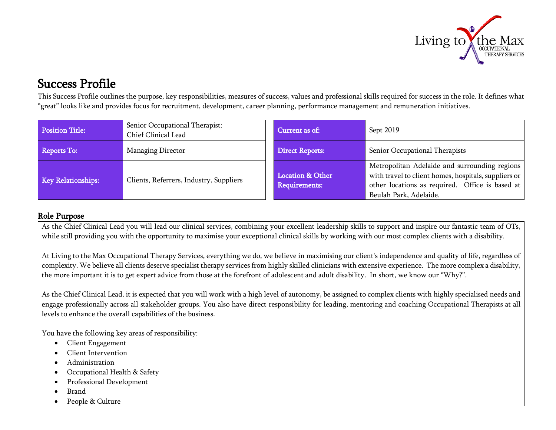

Success Profile<br>This Success Profile outlines the purpose, key responsibilities, measures of success, values and professional skills required for success in the role. It defines what "great" looks like and provides focus for recruitment, development, career planning, performance management and remuneration initiatives.

| <b>Position Title:</b> | Senior Occupational Therapist:<br>Chief Clinical Lead | Current as of:                                      | Sept 2019                                                                                                                                                                          |
|------------------------|-------------------------------------------------------|-----------------------------------------------------|------------------------------------------------------------------------------------------------------------------------------------------------------------------------------------|
| Reports To:            | Managing Director                                     | <b>Direct Reports:</b>                              | Senior Occupational Therapists                                                                                                                                                     |
| Key Relationships:     | Clients, Referrers, Industry, Suppliers               | <b>Location &amp; Other</b><br><b>Requirements:</b> | Metropolitan Adelaide and surrounding regions<br>with travel to client homes, hospitals, suppliers or<br>other locations as required. Office is based at<br>Beulah Park, Adelaide. |

## Role Purpose

As the Chief Clinical Lead you will lead our clinical services, combining your excellent leadership skills to support and inspire our fantastic team of OTs, while still providing you with the opportunity to maximise your exceptional clinical skills by working with our most complex clients with a disability.

At Living to the Max Occupational Therapy Services, everything we do, we believe in maximising our client's independence and quality of life, regardless of complexity. We believe all clients deserve specialist therapy services from highly skilled clinicians with extensive experience. The more complex a disability, the more important it is to get expert advice from those at the forefront of adolescent and adult disability. In short, we know our "Why?".

As the Chief Clinical Lead, it is expected that you will work with a high level of autonomy, be assigned to complex clients with highly specialised needs and engage professionally across all stakeholder groups. You also have direct responsibility for leading, mentoring and coaching Occupational Therapists at all levels to enhance the overall capabilities of the business.

You have the following key areas of responsibility:

- Client Engagement
- Client Intervention
- Administration
- Occupational Health & Safety
- Professional Development
- Brand
- People & Culture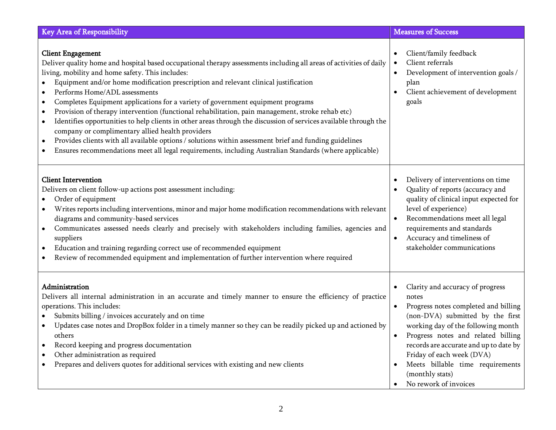| Key Area of Responsibility                                                                                                                                                                                                                                                                                                                                                                                                                                                                                                                                                                                                                                                                                                                                                                                                                                                                                                                                                                   | <b>Measures of Success</b>                                                                                                                                                                                                                                                                                                                               |
|----------------------------------------------------------------------------------------------------------------------------------------------------------------------------------------------------------------------------------------------------------------------------------------------------------------------------------------------------------------------------------------------------------------------------------------------------------------------------------------------------------------------------------------------------------------------------------------------------------------------------------------------------------------------------------------------------------------------------------------------------------------------------------------------------------------------------------------------------------------------------------------------------------------------------------------------------------------------------------------------|----------------------------------------------------------------------------------------------------------------------------------------------------------------------------------------------------------------------------------------------------------------------------------------------------------------------------------------------------------|
| <b>Client Engagement</b><br>Deliver quality home and hospital based occupational therapy assessments including all areas of activities of daily<br>living, mobility and home safety. This includes:<br>Equipment and/or home modification prescription and relevant clinical justification<br>Performs Home/ADL assessments<br>$\bullet$<br>Completes Equipment applications for a variety of government equipment programs<br>$\bullet$<br>Provision of therapy intervention (functional rehabilitation, pain management, stroke rehab etc)<br>$\bullet$<br>Identifies opportunities to help clients in other areas through the discussion of services available through the<br>$\bullet$<br>company or complimentary allied health providers<br>Provides clients with all available options / solutions within assessment brief and funding guidelines<br>$\bullet$<br>Ensures recommendations meet all legal requirements, including Australian Standards (where applicable)<br>$\bullet$ | Client/family feedback<br>Client referrals<br>Development of intervention goals /<br>plan<br>Client achievement of development<br>goals                                                                                                                                                                                                                  |
| <b>Client Intervention</b><br>Delivers on client follow-up actions post assessment including:<br>Order of equipment<br>$\bullet$<br>Writes reports including interventions, minor and major home modification recommendations with relevant<br>diagrams and community-based services<br>Communicates assessed needs clearly and precisely with stakeholders including families, agencies and<br>$\bullet$<br>suppliers<br>Education and training regarding correct use of recommended equipment<br>$\bullet$<br>Review of recommended equipment and implementation of further intervention where required                                                                                                                                                                                                                                                                                                                                                                                    | Delivery of interventions on time<br>Quality of reports (accuracy and<br>quality of clinical input expected for<br>level of experience)<br>Recommendations meet all legal<br>requirements and standards<br>Accuracy and timeliness of<br>stakeholder communications                                                                                      |
| Administration<br>Delivers all internal administration in an accurate and timely manner to ensure the efficiency of practice<br>operations. This includes:<br>Submits billing / invoices accurately and on time<br>Updates case notes and DropBox folder in a timely manner so they can be readily picked up and actioned by<br>others<br>Record keeping and progress documentation<br>$\bullet$<br>Other administration as required<br>$\bullet$<br>Prepares and delivers quotes for additional services with existing and new clients                                                                                                                                                                                                                                                                                                                                                                                                                                                      | Clarity and accuracy of progress<br>notes<br>Progress notes completed and billing<br>(non-DVA) submitted by the first<br>working day of the following month<br>Progress notes and related billing<br>records are accurate and up to date by<br>Friday of each week (DVA)<br>Meets billable time requirements<br>(monthly stats)<br>No rework of invoices |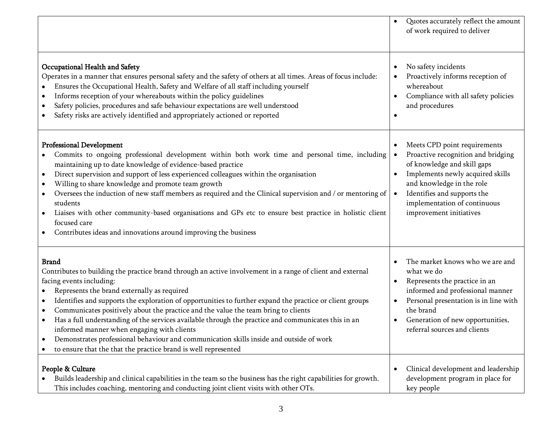|                                                                                                                                                                                                                                                                                                                                                                                                                                                                                                                                                                                                                                                                                                                                                                       | Quotes accurately reflect the amount<br>of work required to deliver                                                                                                                                                                                                                                 |
|-----------------------------------------------------------------------------------------------------------------------------------------------------------------------------------------------------------------------------------------------------------------------------------------------------------------------------------------------------------------------------------------------------------------------------------------------------------------------------------------------------------------------------------------------------------------------------------------------------------------------------------------------------------------------------------------------------------------------------------------------------------------------|-----------------------------------------------------------------------------------------------------------------------------------------------------------------------------------------------------------------------------------------------------------------------------------------------------|
| Occupational Health and Safety<br>Operates in a manner that ensures personal safety and the safety of others at all times. Areas of focus include:<br>Ensures the Occupational Health, Safety and Welfare of all staff including yourself<br>Informs reception of your whereabouts within the policy guidelines<br>$\bullet$<br>Safety policies, procedures and safe behaviour expectations are well understood<br>٠<br>Safety risks are actively identified and appropriately actioned or reported<br>٠                                                                                                                                                                                                                                                              | No safety incidents<br>$\bullet$<br>Proactively informs reception of<br>whereabout<br>Compliance with all safety policies<br>$\bullet$<br>and procedures<br>$\bullet$                                                                                                                               |
| <b>Professional Development</b><br>Commits to ongoing professional development within both work time and personal time, including<br>maintaining up to date knowledge of evidence-based practice<br>Direct supervision and support of less experienced colleagues within the organisation<br>$\bullet$<br>Willing to share knowledge and promote team growth<br>$\bullet$<br>Oversees the induction of new staff members as required and the Clinical supervision and / or mentoring of<br>students<br>Liaises with other community-based organisations and GPs etc to ensure best practice in holistic client<br>$\bullet$<br>focused care<br>Contributes ideas and innovations around improving the business                                                        | Meets CPD point requirements<br>$\bullet$<br>Proactive recognition and bridging<br>of knowledge and skill gaps<br>Implements newly acquired skills<br>$\bullet$<br>and knowledge in the role<br>Identifies and supports the<br>$\bullet$<br>implementation of continuous<br>improvement initiatives |
| <b>Brand</b><br>Contributes to building the practice brand through an active involvement in a range of client and external<br>facing events including:<br>Represents the brand externally as required<br>$\bullet$<br>Identifies and supports the exploration of opportunities to further expand the practice or client groups<br>$\bullet$<br>Communicates positively about the practice and the value the team bring to clients<br>$\bullet$<br>Has a full understanding of the services available through the practice and communicates this in an<br>informed manner when engaging with clients<br>Demonstrates professional behaviour and communication skills inside and outside of work<br>٠<br>to ensure that the that the practice brand is well represented | The market knows who we are and<br>what we do<br>Represents the practice in an<br>$\bullet$<br>informed and professional manner<br>Personal presentation is in line with<br>$\bullet$<br>the brand<br>Generation of new opportunities,<br>referral sources and clients                              |
| People & Culture<br>Builds leadership and clinical capabilities in the team so the business has the right capabilities for growth.<br>This includes coaching, mentoring and conducting joint client visits with other OTs.                                                                                                                                                                                                                                                                                                                                                                                                                                                                                                                                            | Clinical development and leadership<br>$\bullet$<br>development program in place for<br>key people                                                                                                                                                                                                  |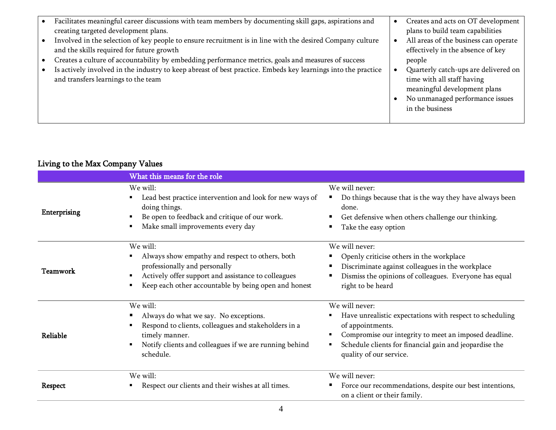| Facilitates meaningful career discussions with team members by documenting skill gaps, aspirations and                                               | Creates and acts on OT development                                                                                                                       |
|------------------------------------------------------------------------------------------------------------------------------------------------------|----------------------------------------------------------------------------------------------------------------------------------------------------------|
| creating targeted development plans.                                                                                                                 | plans to build team capabilities                                                                                                                         |
| Involved in the selection of key people to ensure recruitment is in line with the desired Company culture                                            | All areas of the business can operate                                                                                                                    |
| and the skills required for future growth                                                                                                            | effectively in the absence of key                                                                                                                        |
| Creates a culture of accountability by embedding performance metrics, goals and measures of success                                                  | people                                                                                                                                                   |
| Is actively involved in the industry to keep abreast of best practice. Embeds key learnings into the practice<br>and transfers learnings to the team | Quarterly catch-ups are delivered on<br>time with all staff having<br>meaningful development plans<br>No unmanaged performance issues<br>in the business |

## Living to the Max Company Values

|                     | What this means for the role                                                                                                                                                                                |                                                                                                                                                                                                                                                   |
|---------------------|-------------------------------------------------------------------------------------------------------------------------------------------------------------------------------------------------------------|---------------------------------------------------------------------------------------------------------------------------------------------------------------------------------------------------------------------------------------------------|
| <b>Enterprising</b> | We will:<br>Lead best practice intervention and look for new ways of<br>doing things.<br>Be open to feedback and critique of our work.<br>Make small improvements every day                                 | We will never:<br>Do things because that is the way they have always been<br>done.<br>Get defensive when others challenge our thinking.<br>Take the easy option                                                                                   |
| Teamwork            | We will:<br>Always show empathy and respect to others, both<br>professionally and personally<br>Actively offer support and assistance to colleagues<br>Keep each other accountable by being open and honest | We will never:<br>Openly criticise others in the workplace<br>Discriminate against colleagues in the workplace<br>Dismiss the opinions of colleagues. Everyone has equal<br>right to be heard                                                     |
| Reliable            | We will:<br>Always do what we say. No exceptions.<br>Respond to clients, colleagues and stakeholders in a<br>timely manner.<br>Notify clients and colleagues if we are running behind<br>schedule.          | We will never:<br>Have unrealistic expectations with respect to scheduling<br>of appointments.<br>Compromise our integrity to meet an imposed deadline.<br>Schedule clients for financial gain and jeopardise the<br>٠<br>quality of our service. |
| Respect             | We will:<br>Respect our clients and their wishes at all times.                                                                                                                                              | We will never:<br>Force our recommendations, despite our best intentions,<br>on a client or their family.                                                                                                                                         |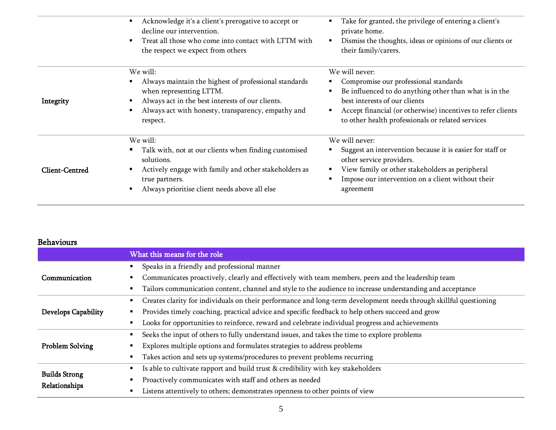|                       | Acknowledge it's a client's prerogative to accept or<br>decline our intervention.<br>Treat all those who come into contact with LTTM with<br>the respect we expect from others                                     | Take for granted, the privilege of entering a client's<br>private home.<br>Dismiss the thoughts, ideas or opinions of our clients or<br>their family/carers.                                                                                                           |
|-----------------------|--------------------------------------------------------------------------------------------------------------------------------------------------------------------------------------------------------------------|------------------------------------------------------------------------------------------------------------------------------------------------------------------------------------------------------------------------------------------------------------------------|
| Integrity             | We will:<br>Always maintain the highest of professional standards<br>when representing LTTM.<br>Always act in the best interests of our clients.<br>Always act with honesty, transparency, empathy and<br>respect. | We will never:<br>Compromise our professional standards<br>Be influenced to do anything other than what is in the<br>best interests of our clients<br>Accept financial (or otherwise) incentives to refer clients<br>to other health professionals or related services |
| <b>Client-Centred</b> | We will:<br>Talk with, not at our clients when finding customised<br>solutions.<br>Actively engage with family and other stakeholders as<br>true partners.<br>Always prioritise client needs above all else        | We will never:<br>Suggest an intervention because it is easier for staff or<br>other service providers.<br>View family or other stakeholders as peripheral<br>Impose our intervention on a client without their<br>agreement                                           |

## Behaviours

|                      | What this means for the role                                                                                      |  |  |
|----------------------|-------------------------------------------------------------------------------------------------------------------|--|--|
|                      | Speaks in a friendly and professional manner                                                                      |  |  |
| Communication        | Communicates proactively, clearly and effectively with team members, peers and the leadership team                |  |  |
|                      | Tailors communication content, channel and style to the audience to increase understanding and acceptance         |  |  |
|                      | Creates clarity for individuals on their performance and long-term development needs through skillful questioning |  |  |
| Develops Capability  | Provides timely coaching, practical advice and specific feedback to help others succeed and grow                  |  |  |
|                      | Looks for opportunities to reinforce, reward and celebrate individual progress and achievements<br>٠              |  |  |
|                      | Seeks the input of others to fully understand issues, and takes the time to explore problems<br>٠                 |  |  |
| Problem Solving      | Explores multiple options and formulates strategies to address problems                                           |  |  |
|                      | Takes action and sets up systems/procedures to prevent problems recurring                                         |  |  |
| <b>Builds Strong</b> | Is able to cultivate rapport and build trust & credibility with key stakeholders<br>٠                             |  |  |
| Relationships        | Proactively communicates with staff and others as needed                                                          |  |  |
|                      | Listens attentively to others; demonstrates openness to other points of view                                      |  |  |